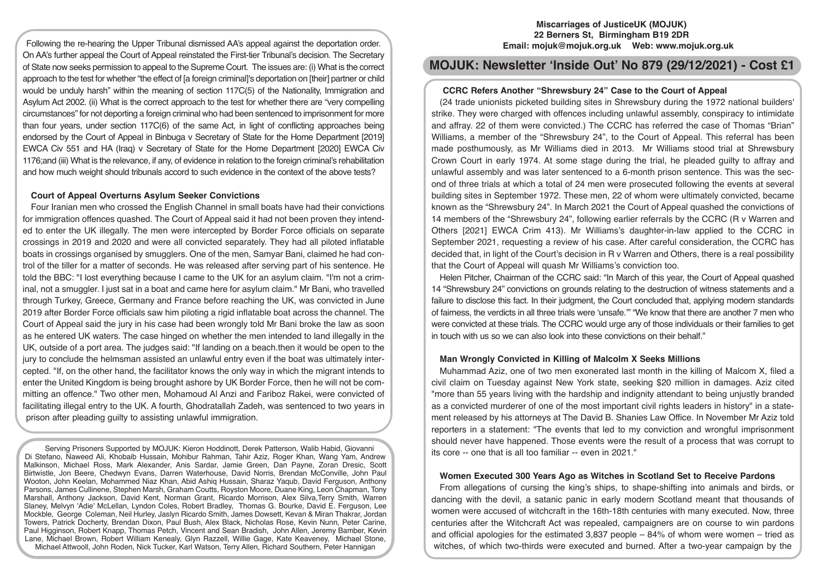Following the re-hearing the Upper Tribunal dismissed AA's appeal against the deportation order. On AA's further appeal the Court of Appeal reinstated the First-tier Tribunal's decision. The Secretary of State now seeks permission to appeal to the Supreme Court. The issues are: (i) What is the correct approach to the test for whether "the effect of [a foreign criminal]'s deportation on [their] partner or child would be unduly harsh" within the meaning of section 117C(5) of the Nationality, Immigration and Asylum Act 2002. (ii) What is the correct approach to the test for whether there are "very compelling circumstances" for not deporting a foreign criminal who had been sentenced to imprisonment for more than four years, under section 117C(6) of the same Act, in light of conflicting approaches being endorsed by the Court of Appeal in Binbuga v Secretary of State for the Home Department [2019] EWCA Civ 551 and HA (Iraq) v Secretary of State for the Home Department [2020] EWCA Civ 1176;and (iii) What is the relevance, if any, of evidence in relation to the foreign criminal's rehabilitation and how much weight should tribunals accord to such evidence in the context of the above tests?

#### **Court of Appeal Overturns Asylum Seeker Convictions**

Four Iranian men who crossed the English Channel in small boats have had their convictions for immigration offences quashed. The Court of Appeal said it had not been proven they intended to enter the UK illegally. The men were intercepted by Border Force officials on separate crossings in 2019 and 2020 and were all convicted separately. They had all piloted inflatable boats in crossings organised by smugglers. One of the men, Samyar Bani, claimed he had control of the tiller for a matter of seconds. He was released after serving part of his sentence. He told the BBC: "I lost everything because I came to the UK for an asylum claim. "I'm not a criminal, not a smuggler. I just sat in a boat and came here for asylum claim." Mr Bani, who travelled through Turkey, Greece, Germany and France before reaching the UK, was convicted in June 2019 after Border Force officials saw him piloting a rigid inflatable boat across the channel. The Court of Appeal said the jury in his case had been wrongly told Mr Bani broke the law as soon as he entered UK waters. The case hinged on whether the men intended to land illegally in the UK, outside of a port area. The judges said: "If landing on a beach.then it would be open to the jury to conclude the helmsman assisted an unlawful entry even if the boat was ultimately intercepted. "If, on the other hand, the facilitator knows the only way in which the migrant intends to enter the United Kingdom is being brought ashore by UK Border Force, then he will not be committing an offence." Two other men, Mohamoud Al Anzi and Fariboz Rakei, were convicted of facilitating illegal entry to the UK. A fourth, Ghodratallah Zadeh, was sentenced to two years in prison after pleading guilty to assisting unlawful immigration.

Serving Prisoners Supported by MOJUK: Kieron Hoddinott, Derek Patterson, Walib Habid, Giovanni Di Stefano, Naweed Ali, Khobaib Hussain, Mohibur Rahman, Tahir Aziz, Roger Khan, Wang Yam, Andrew Malkinson, Michael Ross, Mark Alexander, Anis Sardar, Jamie Green, Dan Payne, Zoran Dresic, Scott Birtwistle, Jon Beere, Chedwyn Evans, Darren Waterhouse, David Norris, Brendan McConville, John Paul Wooton, John Keelan, Mohammed Niaz Khan, Abid Ashiq Hussain, Sharaz Yaqub, David Ferguson, Anthony Parsons, James Cullinene, Stephen Marsh, Graham Coutts, Royston Moore, Duane King, Leon Chapman, Tony Marshall, Anthony Jackson, David Kent, Norman Grant, Ricardo Morrison, Alex Silva,Terry Smith, Warren Slaney, Melvyn 'Adie' McLellan, Lyndon Coles, Robert Bradley, Thomas G. Bourke, David E. Ferguson, Lee Mockble, George Coleman, Neil Hurley, Jaslyn Ricardo Smith, James Dowsett, Kevan & Miran Thakrar, Jordan Towers, Patrick Docherty, Brendan Dixon, Paul Bush, Alex Black, Nicholas Rose, Kevin Nunn, Peter Carine, Paul Higginson, Robert Knapp, Thomas Petch, Vincent and Sean Bradish, John Allen, Jeremy Bamber, Kevin Lane, Michael Brown, Robert William Kenealy, Glyn Razzell, Willie Gage, Kate Keaveney, Michael Stone, Michael Attwooll, John Roden, Nick Tucker, Karl Watson, Terry Allen, Richard Southern, Peter Hannigan

# **Miscarriages of JusticeUK (MOJUK) 22 Berners St, Birmingham B19 2DR Email: mojuk@mojuk.org.uk Web: www.mojuk.org.uk**

# **MOJUK: Newsletter 'Inside Out' No 879 (29/12/2021) - Cost £1**

# **CCRC Refers Another "Shrewsbury 24" Case to the Court of Appeal**

(24 trade unionists picketed building sites in Shrewsbury during the 1972 national builders' strike. They were charged with offences including unlawful assembly, conspiracy to intimidate and affray. 22 of them were convicted.) The CCRC has referred the case of Thomas "Brian" Williams, a member of the "Shrewsbury 24", to the Court of Appeal. This referral has been made posthumously, as Mr Williams died in 2013. Mr Williams stood trial at Shrewsbury Crown Court in early 1974. At some stage during the trial, he pleaded guilty to affray and unlawful assembly and was later sentenced to a 6-month prison sentence. This was the second of three trials at which a total of 24 men were prosecuted following the events at several building sites in September 1972. These men, 22 of whom were ultimately convicted, became known as the "Shrewsbury 24". In March 2021 the Court of Appeal quashed the convictions of 14 members of the "Shrewsbury 24", following earlier referrals by the CCRC (R v Warren and Others [2021] EWCA Crim 413). Mr Williams's daughter-in-law applied to the CCRC in September 2021, requesting a review of his case. After careful consideration, the CCRC has decided that, in light of the Court's decision in R v Warren and Others, there is a real possibility that the Court of Appeal will quash Mr Williams's conviction too.

Helen Pitcher, Chairman of the CCRC said: "In March of this year, the Court of Appeal quashed 14 "Shrewsbury 24" convictions on grounds relating to the destruction of witness statements and a failure to disclose this fact. In their judgment, the Court concluded that, applying modern standards of fairness, the verdicts in all three trials were 'unsafe.'" "We know that there are another 7 men who were convicted at these trials. The CCRC would urge any of those individuals or their families to get in touch with us so we can also look into these convictions on their behalf."

## **Man Wrongly Convicted in Killing of Malcolm X Seeks Millions**

Muhammad Aziz, one of two men exonerated last month in the killing of Malcom X, filed a civil claim on Tuesday against New York state, seeking \$20 million in damages. Aziz cited "more than 55 years living with the hardship and indignity attendant to being unjustly branded as a convicted murderer of one of the most important civil rights leaders in history" in a statement released by his attorneys at The David B. Shanies Law Office. In November Mr Aziz told reporters in a statement: "The events that led to my conviction and wrongful imprisonment should never have happened. Those events were the result of a process that was corrupt to its core -- one that is all too familiar -- even in 2021."

### **Women Executed 300 Years Ago as Witches in Scotland Set to Receive Pardons**

From allegations of cursing the king's ships, to shape-shifting into animals and birds, or dancing with the devil, a satanic panic in early modern Scotland meant that thousands of women were accused of witchcraft in the 16th-18th centuries with many executed. Now, three centuries after the Witchcraft Act was repealed, campaigners are on course to win pardons and official apologies for the estimated  $3.837$  people  $-84%$  of whom were women – tried as witches, of which two-thirds were executed and burned. After a two-year campaign by the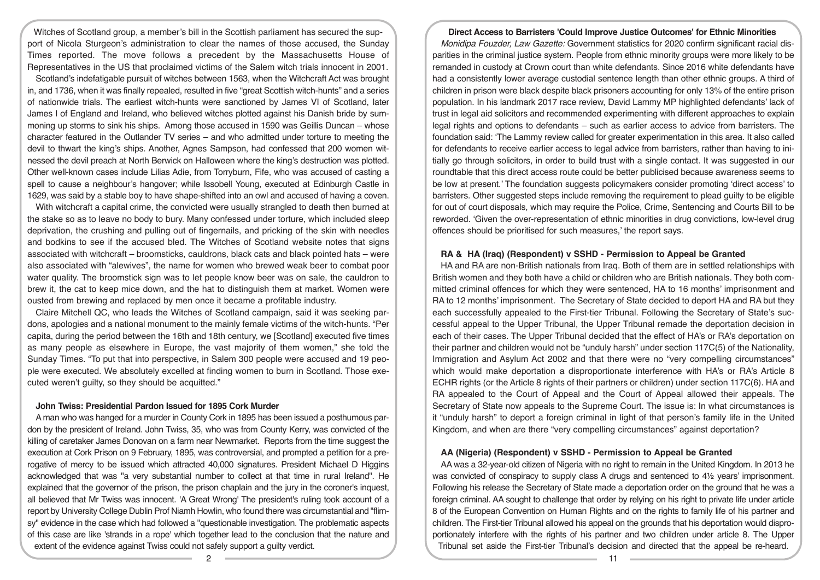Witches of Scotland group, a member's bill in the Scottish parliament has secured the support of Nicola Sturgeon's administration to clear the names of those accused, the Sunday Times reported. The move follows a precedent by the Massachusetts House of Representatives in the US that proclaimed victims of the Salem witch trials innocent in 2001.

Scotland's indefatigable pursuit of witches between 1563, when the Witchcraft Act was brought in, and 1736, when it was finally repealed, resulted in five "great Scottish witch-hunts" and a series of nationwide trials. The earliest witch-hunts were sanctioned by James VI of Scotland, later James I of England and Ireland, who believed witches plotted against his Danish bride by summoning up storms to sink his ships. Among those accused in 1590 was Geillis Duncan – whose character featured in the Outlander TV series – and who admitted under torture to meeting the devil to thwart the king's ships. Another, Agnes Sampson, had confessed that 200 women witnessed the devil preach at North Berwick on Halloween where the king's destruction was plotted. Other well-known cases include Lilias Adie, from Torryburn, Fife, who was accused of casting a spell to cause a neighbour's hangover; while Issobell Young, executed at Edinburgh Castle in 1629, was said by a stable boy to have shape-shifted into an owl and accused of having a coven.

With witchcraft a capital crime, the convicted were usually strangled to death then burned at the stake so as to leave no body to bury. Many confessed under torture, which included sleep deprivation, the crushing and pulling out of fingernails, and pricking of the skin with needles and bodkins to see if the accused bled. The Witches of Scotland website notes that signs associated with witchcraft – broomsticks, cauldrons, black cats and black pointed hats – were also associated with "alewives", the name for women who brewed weak beer to combat poor water quality. The broomstick sign was to let people know beer was on sale, the cauldron to brew it, the cat to keep mice down, and the hat to distinguish them at market. Women were ousted from brewing and replaced by men once it became a profitable industry.

Claire Mitchell QC, who leads the Witches of Scotland campaign, said it was seeking pardons, apologies and a national monument to the mainly female victims of the witch-hunts. "Per capita, during the period between the 16th and 18th century, we [Scotland] executed five times as many people as elsewhere in Europe, the vast majority of them women," she told the Sunday Times. "To put that into perspective, in Salem 300 people were accused and 19 people were executed. We absolutely excelled at finding women to burn in Scotland. Those executed weren't guilty, so they should be acquitted."

## **John Twiss: Presidential Pardon Issued for 1895 Cork Murder**

A man who was hanged for a murder in County Cork in 1895 has been issued a posthumous pardon by the president of Ireland. John Twiss, 35, who was from County Kerry, was convicted of the killing of caretaker James Donovan on a farm near Newmarket. Reports from the time suggest the execution at Cork Prison on 9 February, 1895, was controversial, and prompted a petition for a prerogative of mercy to be issued which attracted 40,000 signatures. President Michael D Higgins acknowledged that was "a very substantial number to collect at that time in rural Ireland". He explained that the governor of the prison, the prison chaplain and the jury in the coroner's inquest. all believed that Mr Twiss was innocent. 'A Great Wrong' The president's ruling took account of a report by University College Dublin Prof Niamh Howlin, who found there was circumstantial and "flimsy" evidence in the case which had followed a "questionable investigation. The problematic aspects of this case are like 'strands in a rope' which together lead to the conclusion that the nature and extent of the evidence against Twiss could not safely support a guilty verdict.

## **Direct Access to Barristers 'Could Improve Justice Outcomes' for Ethnic Minorities**

*Monidipa Fouzder, Law Gazette:* Government statistics for 2020 confirm significant racial disparities in the criminal justice system. People from ethnic minority groups were more likely to be remanded in custody at Crown court than white defendants. Since 2016 white defendants have had a consistently lower average custodial sentence length than other ethnic groups. A third of children in prison were black despite black prisoners accounting for only 13% of the entire prison population. In his landmark 2017 race review, David Lammy MP highlighted defendants' lack of trust in legal aid solicitors and recommended experimenting with different approaches to explain legal rights and options to defendants – such as earlier access to advice from barristers. The foundation said: 'The Lammy review called for greater experimentation in this area. It also called for defendants to receive earlier access to legal advice from barristers, rather than having to initially go through solicitors, in order to build trust with a single contact. It was suggested in our roundtable that this direct access route could be better publicised because awareness seems to be low at present.' The foundation suggests policymakers consider promoting 'direct access' to barristers. Other suggested steps include removing the requirement to plead guilty to be eligible for out of court disposals, which may require the Police, Crime, Sentencing and Courts Bill to be reworded. 'Given the over-representation of ethnic minorities in drug convictions, low-level drug offences should be prioritised for such measures,' the report says.

## **RA & HA (Iraq) (Respondent) v SSHD - Permission to Appeal be Granted**

HA and RA are non-British nationals from Iraq. Both of them are in settled relationships with British women and they both have a child or children who are British nationals. They both committed criminal offences for which they were sentenced, HA to 16 months' imprisonment and RA to 12 months' imprisonment. The Secretary of State decided to deport HA and RA but they each successfully appealed to the First-tier Tribunal. Following the Secretary of State's successful appeal to the Upper Tribunal, the Upper Tribunal remade the deportation decision in each of their cases. The Upper Tribunal decided that the effect of HA's or RA's deportation on their partner and children would not be "unduly harsh" under section 117C(5) of the Nationality, Immigration and Asylum Act 2002 and that there were no "very compelling circumstances" which would make deportation a disproportionate interference with HA's or RA's Article 8 ECHR rights (or the Article 8 rights of their partners or children) under section 117C(6). HA and RA appealed to the Court of Appeal and the Court of Appeal allowed their appeals. The Secretary of State now appeals to the Supreme Court. The issue is: In what circumstances is it "unduly harsh" to deport a foreign criminal in light of that person's family life in the United Kingdom, and when are there "very compelling circumstances" against deportation?

## **AA (Nigeria) (Respondent) v SSHD - Permission to Appeal be Granted**

AA was a 32-year-old citizen of Nigeria with no right to remain in the United Kingdom. In 2013 he was convicted of conspiracy to supply class A drugs and sentenced to 4½ years' imprisonment. Following his release the Secretary of State made a deportation order on the ground that he was a foreign criminal. AA sought to challenge that order by relying on his right to private life under article 8 of the European Convention on Human Rights and on the rights to family life of his partner and children. The First-tier Tribunal allowed his appeal on the grounds that his deportation would disproportionately interfere with the rights of his partner and two children under article 8. The Upper Tribunal set aside the First-tier Tribunal's decision and directed that the appeal be re-heard.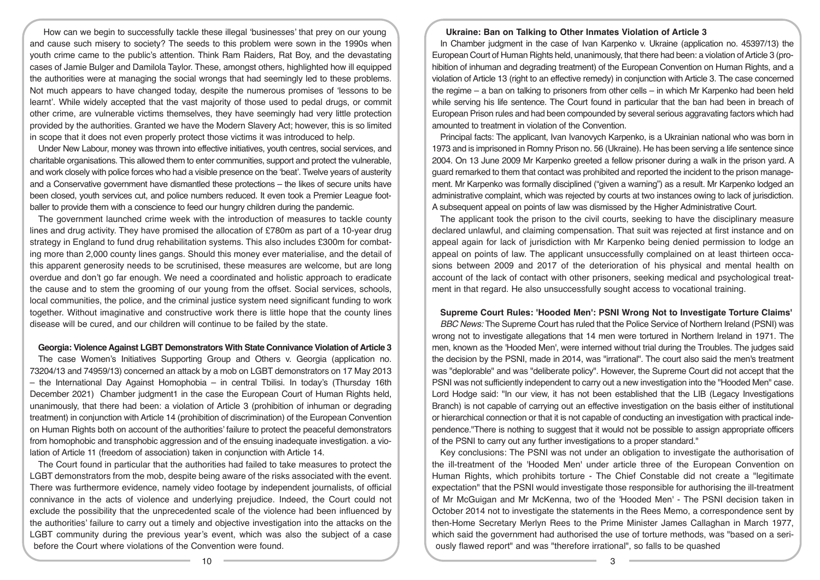How can we begin to successfully tackle these illegal 'businesses' that prey on our young and cause such misery to society? The seeds to this problem were sown in the 1990s when youth crime came to the public's attention. Think Ram Raiders, Rat Boy, and the devastating cases of Jamie Bulger and Damilola Taylor. These, amongst others, highlighted how ill equipped the authorities were at managing the social wrongs that had seemingly led to these problems. Not much appears to have changed today, despite the numerous promises of 'lessons to be learnt'. While widely accepted that the vast majority of those used to pedal drugs, or commit other crime, are vulnerable victims themselves, they have seemingly had very little protection provided by the authorities. Granted we have the Modern Slavery Act; however, this is so limited in scope that it does not even properly protect those victims it was introduced to help.

Under New Labour, money was thrown into effective initiatives, youth centres, social services, and charitable organisations. This allowed them to enter communities, support and protect the vulnerable, and work closely with police forces who had a visible presence on the 'beat'. Twelve years of austerity and a Conservative government have dismantled these protections – the likes of secure units have been closed, youth services cut, and police numbers reduced. It even took a Premier League footballer to provide them with a conscience to feed our hungry children during the pandemic.

The government launched crime week with the introduction of measures to tackle county lines and drug activity. They have promised the allocation of £780m as part of a 10-year drug strategy in England to fund drug rehabilitation systems. This also includes £300m for combating more than 2,000 county lines gangs. Should this money ever materialise, and the detail of this apparent generosity needs to be scrutinised, these measures are welcome, but are long overdue and don't go far enough. We need a coordinated and holistic approach to eradicate the cause and to stem the grooming of our young from the offset. Social services, schools, local communities, the police, and the criminal justice system need significant funding to work together. Without imaginative and constructive work there is little hope that the county lines disease will be cured, and our children will continue to be failed by the state.

#### **Georgia: Violence Against LGBT Demonstrators With State Connivance Violation of Article 3**

The case Women's Initiatives Supporting Group and Others v. Georgia (application no. 73204/13 and 74959/13) concerned an attack by a mob on LGBT demonstrators on 17 May 2013 – the International Day Against Homophobia – in central Tbilisi. In today's (Thursday 16th December 2021) Chamber judgment1 in the case the European Court of Human Rights held, unanimously, that there had been: a violation of Article 3 (prohibition of inhuman or degrading treatment) in conjunction with Article 14 (prohibition of discrimination) of the European Convention on Human Rights both on account of the authorities' failure to protect the peaceful demonstrators from homophobic and transphobic aggression and of the ensuing inadequate investigation. a violation of Article 11 (freedom of association) taken in conjunction with Article 14.

The Court found in particular that the authorities had failed to take measures to protect the LGBT demonstrators from the mob, despite being aware of the risks associated with the event. There was furthermore evidence, namely video footage by independent journalists, of official connivance in the acts of violence and underlying prejudice. Indeed, the Court could not exclude the possibility that the unprecedented scale of the violence had been influenced by the authorities' failure to carry out a timely and objective investigation into the attacks on the LGBT community during the previous year's event, which was also the subject of a case before the Court where violations of the Convention were found.

#### **Ukraine: Ban on Talking to Other Inmates Violation of Article 3**

In Chamber judgment in the case of Ivan Karpenko v. Ukraine (application no. 45397/13) the European Court of Human Rights held, unanimously, that there had been: a violation of Article 3 (prohibition of inhuman and degrading treatment) of the European Convention on Human Rights, and a violation of Article 13 (right to an effective remedy) in conjunction with Article 3. The case concerned the regime – a ban on talking to prisoners from other cells – in which Mr Karpenko had been held while serving his life sentence. The Court found in particular that the ban had been in breach of European Prison rules and had been compounded by several serious aggravating factors which had amounted to treatment in violation of the Convention.

Principal facts: The applicant, Ivan Ivanovych Karpenko, is a Ukrainian national who was born in 1973 and is imprisoned in Romny Prison no. 56 (Ukraine). He has been serving a life sentence since 2004. On 13 June 2009 Mr Karpenko greeted a fellow prisoner during a walk in the prison yard. A guard remarked to them that contact was prohibited and reported the incident to the prison management. Mr Karpenko was formally disciplined ("given a warning") as a result. Mr Karpenko lodged an administrative complaint, which was rejected by courts at two instances owing to lack of jurisdiction. A subsequent appeal on points of law was dismissed by the Higher Administrative Court.

The applicant took the prison to the civil courts, seeking to have the disciplinary measure declared unlawful, and claiming compensation. That suit was rejected at first instance and on appeal again for lack of jurisdiction with Mr Karpenko being denied permission to lodge an appeal on points of law. The applicant unsuccessfully complained on at least thirteen occasions between 2009 and 2017 of the deterioration of his physical and mental health on account of the lack of contact with other prisoners, seeking medical and psychological treatment in that regard. He also unsuccessfully sought access to vocational training.

## **Supreme Court Rules: 'Hooded Men': PSNI Wrong Not to Investigate Torture Claims'**

*BBC News:* The Supreme Court has ruled that the Police Service of Northern Ireland (PSNI) was wrong not to investigate allegations that 14 men were tortured in Northern Ireland in 1971. The men, known as the 'Hooded Men', were interned without trial during the Troubles. The judges said the decision by the PSNI, made in 2014, was "irrational". The court also said the men's treatment was "deplorable" and was "deliberate policy". However, the Supreme Court did not accept that the PSNI was not sufficiently independent to carry out a new investigation into the "Hooded Men" case. Lord Hodge said: "In our view, it has not been established that the LIB (Legacy Investigations Branch) is not capable of carrying out an effective investigation on the basis either of institutional or hierarchical connection or that it is not capable of conducting an investigation with practical independence."There is nothing to suggest that it would not be possible to assign appropriate officers of the PSNI to carry out any further investigations to a proper standard."

Key conclusions: The PSNI was not under an obligation to investigate the authorisation of the ill-treatment of the 'Hooded Men' under article three of the European Convention on Human Rights, which prohibits torture - The Chief Constable did not create a "legitimate expectation" that the PSNI would investigate those responsible for authorising the ill-treatment of Mr McGuigan and Mr McKenna, two of the 'Hooded Men' - The PSNI decision taken in October 2014 not to investigate the statements in the Rees Memo, a correspondence sent by then-Home Secretary Merlyn Rees to the Prime Minister James Callaghan in March 1977, which said the government had authorised the use of torture methods, was "based on a seriously flawed report" and was "therefore irrational", so falls to be quashed

 $\overline{10}$   $\overline{3}$   $\overline{3}$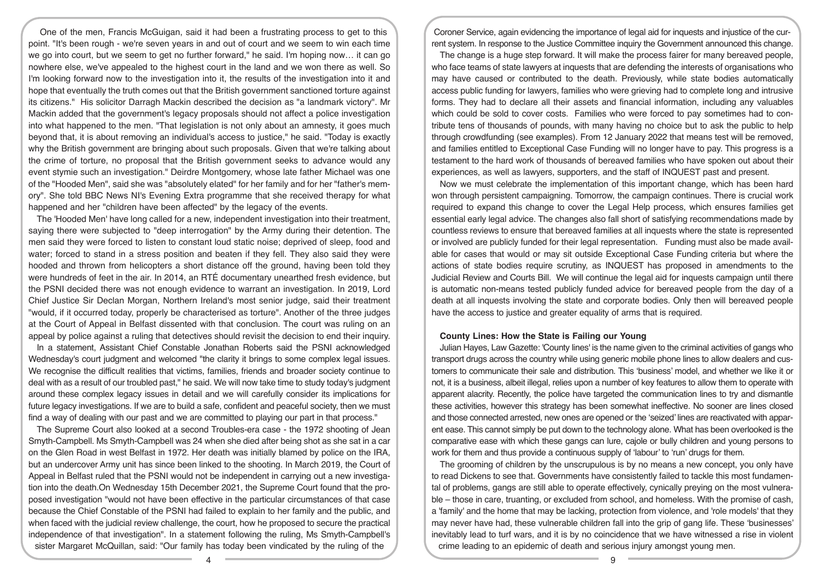One of the men, Francis McGuigan, said it had been a frustrating process to get to this point. "It's been rough - we're seven years in and out of court and we seem to win each time we go into court, but we seem to get no further forward," he said. I'm hoping now… it can go nowhere else, we've appealed to the highest court in the land and we won there as well. So I'm looking forward now to the investigation into it, the results of the investigation into it and hope that eventually the truth comes out that the British government sanctioned torture against its citizens." His solicitor Darragh Mackin described the decision as "a landmark victory". Mr Mackin added that the government's legacy proposals should not affect a police investigation into what happened to the men. "That legislation is not only about an amnesty, it goes much beyond that, it is about removing an individual's access to justice," he said. "Today is exactly why the British government are bringing about such proposals. Given that we're talking about the crime of torture, no proposal that the British government seeks to advance would any event stymie such an investigation." Deirdre Montgomery, whose late father Michael was one of the "Hooded Men", said she was "absolutely elated" for her family and for her "father's memory". She told BBC News NI's Evening Extra programme that she received therapy for what happened and her "children have been affected" by the legacy of the events.

The 'Hooded Men' have long called for a new, independent investigation into their treatment, saying there were subjected to "deep interrogation" by the Army during their detention. The men said they were forced to listen to constant loud static noise; deprived of sleep, food and water; forced to stand in a stress position and beaten if they fell. They also said they were hooded and thrown from helicopters a short distance off the ground, having been told they were hundreds of feet in the air. In 2014, an RTÉ documentary unearthed fresh evidence, but the PSNI decided there was not enough evidence to warrant an investigation. In 2019, Lord Chief Justice Sir Declan Morgan, Northern Ireland's most senior judge, said their treatment "would, if it occurred today, properly be characterised as torture". Another of the three judges at the Court of Appeal in Belfast dissented with that conclusion. The court was ruling on an appeal by police against a ruling that detectives should revisit the decision to end their inquiry.

In a statement, Assistant Chief Constable Jonathan Roberts said the PSNI acknowledged Wednesday's court judgment and welcomed "the clarity it brings to some complex legal issues. We recognise the difficult realities that victims, families, friends and broader society continue to deal with as a result of our troubled past," he said. We will now take time to study today's judgment around these complex legacy issues in detail and we will carefully consider its implications for future legacy investigations. If we are to build a safe, confident and peaceful society, then we must find a way of dealing with our past and we are committed to playing our part in that process."

The Supreme Court also looked at a second Troubles-era case - the 1972 shooting of Jean Smyth-Campbell. Ms Smyth-Campbell was 24 when she died after being shot as she sat in a car on the Glen Road in west Belfast in 1972. Her death was initially blamed by police on the IRA, but an undercover Army unit has since been linked to the shooting. In March 2019, the Court of Appeal in Belfast ruled that the PSNI would not be independent in carrying out a new investigation into the death.On Wednesday 15th December 2021, the Supreme Court found that the proposed investigation "would not have been effective in the particular circumstances of that case because the Chief Constable of the PSNI had failed to explain to her family and the public, and when faced with the judicial review challenge, the court, how he proposed to secure the practical independence of that investigation". In a statement following the ruling, Ms Smyth-Campbell's sister Margaret McQuillan, said: "Our family has today been vindicated by the ruling of the

Coroner Service, again evidencing the importance of legal aid for inquests and injustice of the current system. In response to the Justice Committee inquiry the Government announced this change.

The change is a huge step forward. It will make the process fairer for many bereaved people, who face teams of state lawyers at inquests that are defending the interests of organisations who may have caused or contributed to the death. Previously, while state bodies automatically access public funding for lawyers, families who were grieving had to complete long and intrusive forms. They had to declare all their assets and financial information, including any valuables which could be sold to cover costs. Families who were forced to pay sometimes had to contribute tens of thousands of pounds, with many having no choice but to ask the public to help through crowdfunding (see examples). From 12 January 2022 that means test will be removed, and families entitled to Exceptional Case Funding will no longer have to pay. This progress is a testament to the hard work of thousands of bereaved families who have spoken out about their experiences, as well as lawyers, supporters, and the staff of INQUEST past and present.

Now we must celebrate the implementation of this important change, which has been hard won through persistent campaigning. Tomorrow, the campaign continues. There is crucial work required to expand this change to cover the Legal Help process, which ensures families get essential early legal advice. The changes also fall short of satisfying recommendations made by countless reviews to ensure that bereaved families at all inquests where the state is represented or involved are publicly funded for their legal representation. Funding must also be made available for cases that would or may sit outside Exceptional Case Funding criteria but where the actions of state bodies require scrutiny, as INQUEST has proposed in amendments to the Judicial Review and Courts Bill. We will continue the legal aid for inquests campaign until there is automatic non-means tested publicly funded advice for bereaved people from the day of a death at all inquests involving the state and corporate bodies. Only then will bereaved people have the access to justice and greater equality of arms that is required.

# **County Lines: How the State is Failing our Young**

Julian Hayes, Law Gazette: 'County lines' is the name given to the criminal activities of gangs who transport drugs across the country while using generic mobile phone lines to allow dealers and customers to communicate their sale and distribution. This 'business' model, and whether we like it or not, it is a business, albeit illegal, relies upon a number of key features to allow them to operate with apparent alacrity. Recently, the police have targeted the communication lines to try and dismantle these activities, however this strategy has been somewhat ineffective. No sooner are lines closed and those connected arrested, new ones are opened or the 'seized' lines are reactivated with apparent ease. This cannot simply be put down to the technology alone. What has been overlooked is the comparative ease with which these gangs can lure, cajole or bully children and young persons to work for them and thus provide a continuous supply of 'labour' to 'run' drugs for them.

The grooming of children by the unscrupulous is by no means a new concept, you only have to read Dickens to see that. Governments have consistently failed to tackle this most fundamental of problems, gangs are still able to operate effectively, cynically preving on the most vulnerable – those in care, truanting, or excluded from school, and homeless. With the promise of cash, a 'family' and the home that may be lacking, protection from violence, and 'role models' that they may never have had, these vulnerable children fall into the grip of gang life. These 'businesses' inevitably lead to turf wars, and it is by no coincidence that we have witnessed a rise in violent crime leading to an epidemic of death and serious injury amongst young men.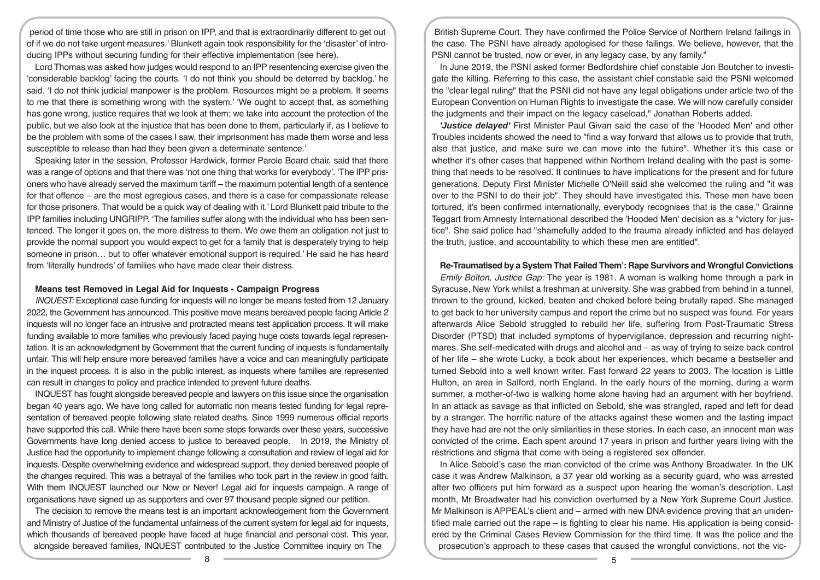period of time those who are still in prison on IPP, and that is extraordinarily different to get out of if we do not take urgent measures.' Blunkett again took responsibility for the 'disaster' of introducing IPPs without securing funding for their effective implementation (see here).

Lord Thomas was asked how judges would respond to an IPP resentencing exercise given the 'considerable backlog' facing the courts. 'I do not think you should be deterred by backlog,' he said. 'I do not think judicial manpower is the problem. Resources might be a problem. It seems to me that there is something wrong with the system.' 'We ought to accept that, as something has gone wrong, justice requires that we look at them; we take into account the protection of the public, but we also look at the injustice that has been done to them, particularly if, as I believe to be the problem with some of the cases I saw, their imprisonment has made them worse and less susceptible to release than had they been given a determinate sentence.'

Speaking later in the session, Professor Hardwick, former Parole Board chair, said that there was a range of options and that there was 'not one thing that works for everybody'. 'The IPP prisoners who have already served the maximum tariff – the maximum potential length of a sentence for that offence – are the most egregious cases, and there is a case for compassionate release for those prisoners. That would be a quick way of dealing with it.' Lord Blunkett paid tribute to the IPP families including UNGRIPP. 'The families suffer along with the individual who has been sentenced. The longer it goes on, the more distress to them. We owe them an obligation not just to provide the normal support you would expect to get for a family that is desperately trying to help someone in prison… but to offer whatever emotional support is required.' He said he has heard from 'literally hundreds' of families who have made clear their distress.

## **Means test Removed in Legal Aid for Inquests - Campaign Progress**

*INQUEST:* Exceptional case funding for inquests will no longer be means tested from 12 January 2022, the Government has announced. This positive move means bereaved people facing Article 2 inquests will no longer face an intrusive and protracted means test application process. It will make funding available to more families who previously faced paying huge costs towards legal representation. It is an acknowledgment by Government that the current funding of inquests is fundamentally unfair. This will help ensure more bereaved families have a voice and can meaningfully participate in the inquest process. It is also in the public interest, as inquests where families are represented can result in changes to policy and practice intended to prevent future deaths.

INQUEST has fought alongside bereaved people and lawyers on this issue since the organisation began 40 years ago. We have long called for automatic non means tested funding for legal representation of bereaved people following state related deaths. Since 1999 numerous official reports have supported this call. While there have been some steps forwards over these years, successive Governments have long denied access to justice to bereaved people. In 2019, the Ministry of Justice had the opportunity to implement change following a consultation and review of legal aid for inquests. Despite overwhelming evidence and widespread support, they denied bereaved people of the changes required. This was a betrayal of the families who took part in the review in good faith. With them INQUEST launched our Now or Never! Legal aid for inquests campaign. A range of organisations have signed up as supporters and over 97 thousand people signed our petition.

The decision to remove the means test is an important acknowledgement from the Government and Ministry of Justice of the fundamental unfairness of the current system for legal aid for inquests, which thousands of bereaved people have faced at huge financial and personal cost. This year, alongside bereaved families, INQUEST contributed to the Justice Committee inquiry on The

British Supreme Court. They have confirmed the Police Service of Northern Ireland failings in the case. The PSNI have already apologised for these failings. We believe, however, that the PSNI cannot be trusted, now or ever, in any legacy case, by any family."

In June 2019, the PSNI asked former Bedfordshire chief constable Jon Boutcher to investigate the killing. Referring to this case, the assistant chief constable said the PSNI welcomed the "clear legal ruling" that the PSNI did not have any legal obligations under article two of the European Convention on Human Rights to investigate the case. We will now carefully consider the judgments and their impact on the legacy caseload," Jonathan Roberts added.

*'Justice delayed'* First Minister Paul Givan said the case of the 'Hooded Men' and other Troubles incidents showed the need to "find a way forward that allows us to provide that truth, also that justice, and make sure we can move into the future". Whether it's this case or whether it's other cases that happened within Northern Ireland dealing with the past is something that needs to be resolved. It continues to have implications for the present and for future generations. Deputy First Minister Michelle O'Neill said she welcomed the ruling and "it was over to the PSNI to do their job". They should have investigated this. These men have been tortured, it's been confirmed internationally, everybody recognises that is the case." Grainne Teggart from Amnesty International described the 'Hooded Men' decision as a "victory for justice". She said police had "shamefully added to the trauma already inflicted and has delayed the truth, justice, and accountability to which these men are entitled".

## **Re-Traumatised by a System That Failed Them': Rape Survivors and Wrongful Convictions**

*Emily Bolton, Justice Gap:* The year is 1981. A woman is walking home through a park in Syracuse, New York whilst a freshman at university. She was grabbed from behind in a tunnel, thrown to the ground, kicked, beaten and choked before being brutally raped. She managed to get back to her university campus and report the crime but no suspect was found. For years afterwards Alice Sebold struggled to rebuild her life, suffering from Post-Traumatic Stress Disorder (PTSD) that included symptoms of hypervigilance, depression and recurring nightmares. She self-medicated with drugs and alcohol and – as way of trying to seize back control of her life – she wrote Lucky, a book about her experiences, which became a bestseller and turned Sebold into a well known writer. Fast forward 22 years to 2003. The location is Little Hulton, an area in Salford, north England. In the early hours of the morning, during a warm summer, a mother-of-two is walking home alone having had an argument with her boyfriend. In an attack as savage as that inflicted on Sebold, she was strangled, raped and left for dead by a stranger. The horrific nature of the attacks against these women and the lasting impact they have had are not the only similarities in these stories. In each case, an innocent man was convicted of the crime. Each spent around 17 years in prison and further years living with the restrictions and stigma that come with being a registered sex offender.

In Alice Sebold's case the man convicted of the crime was Anthony Broadwater. In the UK case it was Andrew Malkinson, a 37 year old working as a security guard, who was arrested after two officers put him forward as a suspect upon hearing the woman's description. Last month, Mr Broadwater had his conviction overturned by a New York Supreme Court Justice. Mr Malkinson is APPEAL's client and – armed with new DNA evidence proving that an unidentified male carried out the rape – is fighting to clear his name. His application is being considered by the Criminal Cases Review Commission for the third time. It was the police and the prosecution's approach to these cases that caused the wrongful convictions, not the vic-